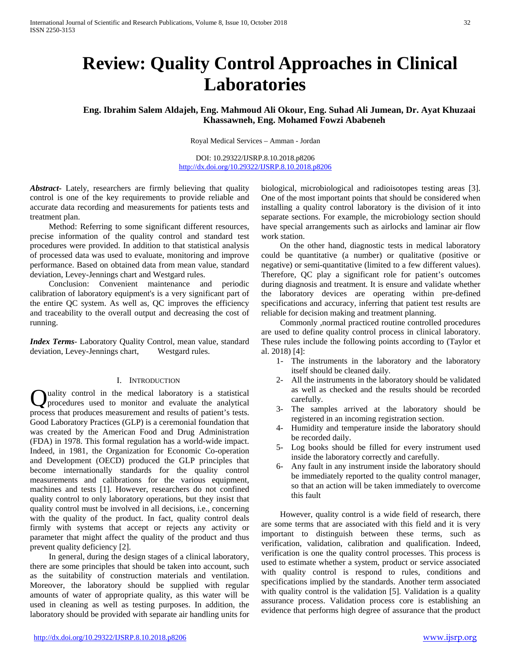# **Review: Quality Control Approaches in Clinical Laboratories**

**Eng. Ibrahim Salem Aldajeh, Eng. Mahmoud Ali Okour, Eng. Suhad Ali Jumean, Dr. Ayat Khuzaai Khassawneh, Eng. Mohamed Fowzi Ababeneh**

Royal Medical Services – Amman - Jordan

DOI: 10.29322/IJSRP.8.10.2018.p8206 <http://dx.doi.org/10.29322/IJSRP.8.10.2018.p8206>

*Abstract***-** Lately, researchers are firmly believing that quality control is one of the key requirements to provide reliable and accurate data recording and measurements for patients tests and treatment plan.

 Method: Referring to some significant different resources, precise information of the quality control and standard test procedures were provided. In addition to that statistical analysis of processed data was used to evaluate, monitoring and improve performance. Based on obtained data from mean value, standard deviation, Levey-Jennings chart and Westgard rules.

 Conclusion: Convenient maintenance and periodic calibration of laboratory equipment's is a very significant part of the entire QC system. As well as, QC improves the efficiency and traceability to the overall output and decreasing the cost of running.

*Index Terms*- Laboratory Quality Control, mean value, standard deviation, Levey-Jennings chart, Westgard rules.

## I. INTRODUCTION

Quality control in the medical laboratory is a statistical procedures used to monitor and evaluate the analytical procedures used to monitor and evaluate the analytical process that produces measurement and results of patient's tests. Good Laboratory Practices (GLP) is a ceremonial foundation that was created by the American Food and Drug Administration (FDA) in 1978. This formal regulation has a world-wide impact. Indeed, in 1981, the Organization for Economic Co-operation and Development (OECD) produced the GLP principles that become internationally standards for the quality control measurements and calibrations for the various equipment, machines and tests [1]. However, researchers do not confined quality control to only laboratory operations, but they insist that quality control must be involved in all decisions, i.e., concerning with the quality of the product. In fact, quality control deals firmly with systems that accept or rejects any activity or parameter that might affect the quality of the product and thus prevent quality deficiency [2].

 In general, during the design stages of a clinical laboratory, there are some principles that should be taken into account, such as the suitability of construction materials and ventilation. Moreover, the laboratory should be supplied with regular amounts of water of appropriate quality, as this water will be used in cleaning as well as testing purposes. In addition, the laboratory should be provided with separate air handling units for

biological, microbiological and radioisotopes testing areas [3]. One of the most important points that should be considered when installing a quality control laboratory is the division of it into separate sections. For example, the microbiology section should have special arrangements such as airlocks and laminar air flow work station.

 On the other hand, diagnostic tests in medical laboratory could be quantitative (a number) or qualitative (positive or negative) or semi-quantitative (limited to a few different values). Therefore, QC play a significant role for patient's outcomes during diagnosis and treatment. It is ensure and validate whether the laboratory devices are operating within pre-defined specifications and accuracy, inferring that patient test results are reliable for decision making and treatment planning.

 Commonly ,normal practiced routine controlled procedures are used to define quality control process in clinical laboratory. These rules include the following points according to (Taylor et al. 2018) [4]:

- 1- The instruments in the laboratory and the laboratory itself should be cleaned daily.
- 2- All the instruments in the laboratory should be validated as well as checked and the results should be recorded carefully.
- 3- The samples arrived at the laboratory should be registered in an incoming registration section.
- 4- Humidity and temperature inside the laboratory should be recorded daily.
- 5- Log books should be filled for every instrument used inside the laboratory correctly and carefully.
- 6- Any fault in any instrument inside the laboratory should be immediately reported to the quality control manager, so that an action will be taken immediately to overcome this fault

 However, quality control is a wide field of research, there are some terms that are associated with this field and it is very important to distinguish between these terms, such as verification, validation, calibration and qualification. Indeed, verification is one the quality control processes. This process is used to estimate whether a system, product or service associated with quality control is respond to rules, conditions and specifications implied by the standards. Another term associated with quality control is the validation [5]. Validation is a quality assurance process. Validation process core is establishing an evidence that performs high degree of assurance that the product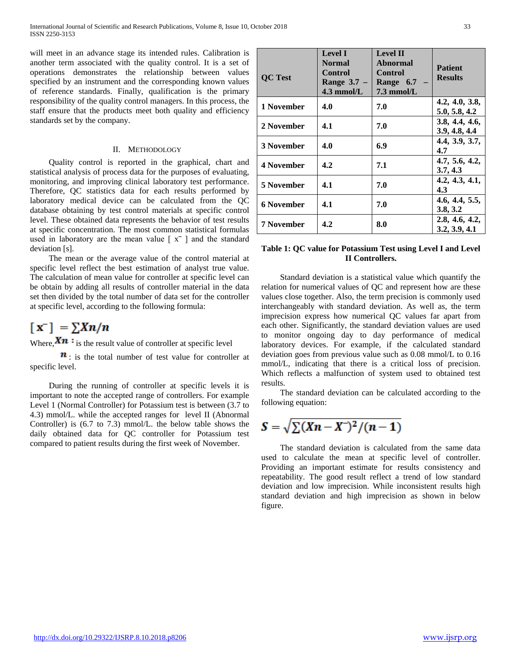will meet in an advance stage its intended rules. Calibration is another term associated with the quality control. It is a set of operations demonstrates the relationship between values specified by an instrument and the corresponding known values of reference standards. Finally, qualification is the primary responsibility of the quality control managers. In this process, the staff ensure that the products meet both quality and efficiency standards set by the company.

#### II. METHODOLOGY

 Quality control is reported in the graphical, chart and statistical analysis of process data for the purposes of evaluating, monitoring, and improving clinical laboratory test performance. Therefore, QC statistics data for each results performed by laboratory medical device can be calculated from the QC database obtaining by test control materials at specific control level. These obtained data represents the behavior of test results at specific concentration. The most common statistical formulas used in laboratory are the mean value  $[x^{\dagger}]$  and the standard deviation [s].

 The mean or the average value of the control material at specific level reflect the best estimation of analyst true value. The calculation of mean value for controller at specific level can be obtain by adding all results of controller material in the data set then divided by the total number of data set for the controller at specific level, according to the following formula:

# $\lceil x \rceil = \sum X n/n$

Where,  $Xn :$  is the result value of controller at specific level

 $\mathbf{n}$ : is the total number of test value for controller at specific level.

 During the running of controller at specific levels it is important to note the accepted range of controllers. For example Level 1 (Normal Controller) for Potassium test is between (3.7 to 4.3) mmol/L. while the accepted ranges for level II (Abnormal Controller) is (6.7 to 7.3) mmol/L. the below table shows the daily obtained data for QC controller for Potassium test compared to patient results during the first week of November.

| <b>QC</b> Test    | <b>Level I</b><br><b>Normal</b><br>Control<br>Range $3.7 -$<br>$4.3$ mmol/L | <b>Level II</b><br><b>Abnormal</b><br><b>Control</b><br>Range 6.7<br>$7.3 \text{ mmol/L}$ | <b>Patient</b><br><b>Results</b> |
|-------------------|-----------------------------------------------------------------------------|-------------------------------------------------------------------------------------------|----------------------------------|
| 1 November        | 4.0                                                                         | 7.0                                                                                       | 4.2, 4.0, 3.8,<br>5.0, 5.8, 4.2  |
| 2 November        | 4.1                                                                         | 7.0                                                                                       | 3.8, 4.4, 4.6,<br>3.9, 4.8, 4.4  |
| 3 November        | 4.0                                                                         | 6.9                                                                                       | 4.4, 3.9, 3.7,<br>4.7            |
| 4 November        | 4.2                                                                         | 7.1                                                                                       | 4.7, 5.6, 4.2,<br>3.7, 4.3       |
| 5 November        | 4.1                                                                         | 7.0                                                                                       | 4.2, 4.3, 4.1,<br>4.3            |
| <b>6 November</b> | 4.1                                                                         | 7.0                                                                                       | 4.6, 4.4, 5.5,<br>3.8, 3.2       |
| <b>7 November</b> | 4.2                                                                         | 8.0                                                                                       | 2.8, 4.6, 4.2,<br>3.2, 3.9, 4.1  |

# **Table 1: QC value for Potassium Test using Level I and Level II Controllers.**

 Standard deviation is a statistical value which quantify the relation for numerical values of QC and represent how are these values close together. Also, the term precision is commonly used interchangeably with standard deviation. As well as, the term imprecision express how numerical QC values far apart from each other. Significantly, the standard deviation values are used to monitor ongoing day to day performance of medical laboratory devices. For example, if the calculated standard deviation goes from previous value such as 0.08 mmol/L to 0.16 mmol/L, indicating that there is a critical loss of precision. Which reflects a malfunction of system used to obtained test results.

 The standard deviation can be calculated according to the following equation:

$$
S=\sqrt{\sum (Xn-X^{\dagger})^2/(n-1)}
$$

 The standard deviation is calculated from the same data used to calculate the mean at specific level of controller. Providing an important estimate for results consistency and repeatability. The good result reflect a trend of low standard deviation and low imprecision. While inconsistent results high standard deviation and high imprecision as shown in below figure.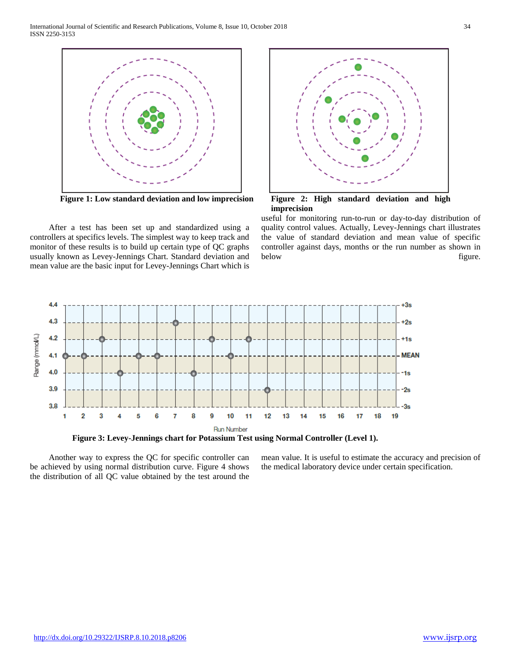

 After a test has been set up and standardized using a controllers at specifics levels. The simplest way to keep track and monitor of these results is to build up certain type of QC graphs usually known as Levey-Jennings Chart. Standard deviation and mean value are the basic input for Levey-Jennings Chart which is



useful for monitoring run-to-run or day-to-day distribution of quality control values. Actually, Levey-Jennings chart illustrates the value of standard deviation and mean value of specific controller against days, months or the run number as shown in below figure.



 Another way to express the QC for specific controller can be achieved by using normal distribution curve. Figure 4 shows the distribution of all QC value obtained by the test around the

mean value. It is useful to estimate the accuracy and precision of the medical laboratory device under certain specification.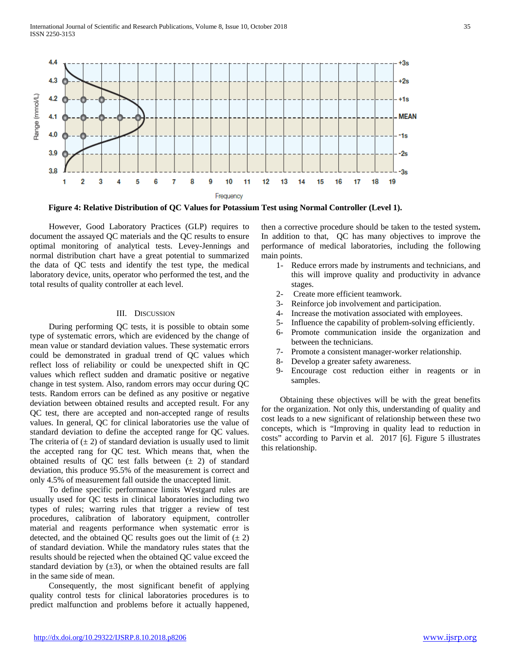

**Figure 4: Relative Distribution of QC Values for Potassium Test using Normal Controller (Level 1).**

 However, Good Laboratory Practices (GLP) requires to document the assayed QC materials and the QC results to ensure optimal monitoring of analytical tests. Levey-Jennings and normal distribution chart have a great potential to summarized the data of QC tests and identify the test type, the medical laboratory device, units, operator who performed the test, and the total results of quality controller at each level.

#### III. DISCUSSION

 During performing QC tests, it is possible to obtain some type of systematic errors, which are evidenced by the change of mean value or standard deviation values. These systematic errors could be demonstrated in gradual trend of QC values which reflect loss of reliability or could be unexpected shift in QC values which reflect sudden and dramatic positive or negative change in test system. Also, random errors may occur during QC tests. Random errors can be defined as any positive or negative deviation between obtained results and accepted result. For any QC test, there are accepted and non-accepted range of results values. In general, QC for clinical laboratories use the value of standard deviation to define the accepted range for QC values. The criteria of  $(\pm 2)$  of standard deviation is usually used to limit the accepted rang for QC test. Which means that, when the obtained results of QC test falls between  $(\pm 2)$  of standard deviation, this produce 95.5% of the measurement is correct and only 4.5% of measurement fall outside the unaccepted limit.

 To define specific performance limits Westgard rules are usually used for QC tests in clinical laboratories including two types of rules; warring rules that trigger a review of test procedures, calibration of laboratory equipment, controller material and reagents performance when systematic error is detected, and the obtained QC results goes out the limit of  $(\pm 2)$ of standard deviation. While the mandatory rules states that the results should be rejected when the obtained QC value exceed the standard deviation by  $(\pm 3)$ , or when the obtained results are fall in the same side of mean.

 Consequently, the most significant benefit of applying quality control tests for clinical laboratories procedures is to predict malfunction and problems before it actually happened, then a corrective procedure should be taken to the tested system**.**  In addition to that, QC has many objectives to improve the performance of medical laboratories, including the following main points.

- 1- Reduce errors made by instruments and technicians, and this will improve quality and productivity in advance stages.
- 2- Create more efficient teamwork.
- 3- Reinforce job involvement and participation.
- 4- Increase the motivation associated with employees.
- 5- Influence the capability of problem-solving efficiently.
- 6- Promote communication inside the organization and between the technicians.
- 7- Promote a consistent manager-worker relationship.
- 8- Develop a greater safety awareness.
- 9- Encourage cost reduction either in reagents or in samples.

 Obtaining these objectives will be with the great benefits for the organization. Not only this, understanding of quality and cost leads to a new significant of relationship between these two concepts, which is "Improving in quality lead to reduction in costs" according to Parvin et al. 2017 [6]. Figure 5 illustrates this relationship.